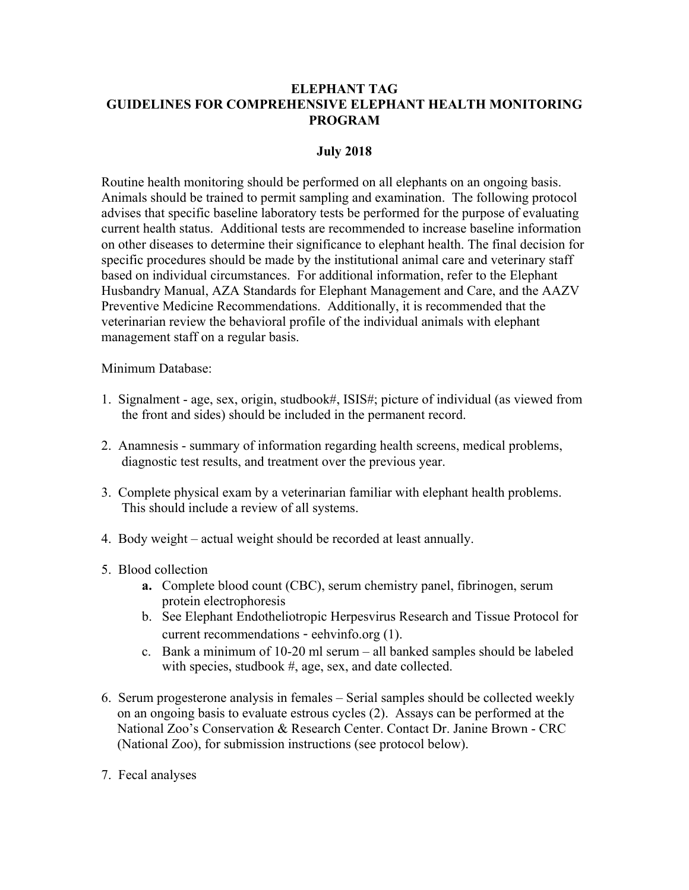# **ELEPHANT TAG GUIDELINES FOR COMPREHENSIVE ELEPHANT HEALTH MONITORING PROGRAM**

## **July 2018**

Routine health monitoring should be performed on all elephants on an ongoing basis. Animals should be trained to permit sampling and examination. The following protocol advises that specific baseline laboratory tests be performed for the purpose of evaluating current health status. Additional tests are recommended to increase baseline information on other diseases to determine their significance to elephant health. The final decision for specific procedures should be made by the institutional animal care and veterinary staff based on individual circumstances. For additional information, refer to the Elephant Husbandry Manual, AZA Standards for Elephant Management and Care, and the AAZV Preventive Medicine Recommendations. Additionally, it is recommended that the veterinarian review the behavioral profile of the individual animals with elephant management staff on a regular basis.

Minimum Database:

- 1. Signalment age, sex, origin, studbook#, ISIS#; picture of individual (as viewed from the front and sides) should be included in the permanent record.
- 2. Anamnesis summary of information regarding health screens, medical problems, diagnostic test results, and treatment over the previous year.
- 3. Complete physical exam by a veterinarian familiar with elephant health problems. This should include a review of all systems.
- 4. Body weight actual weight should be recorded at least annually.
- 5. Blood collection
	- **a.** Complete blood count (CBC), serum chemistry panel, fibrinogen, serum protein electrophoresis
	- b. See Elephant Endotheliotropic Herpesvirus Research and Tissue Protocol for current recommendations - eehvinfo.org (1).
	- c. Bank a minimum of 10-20 ml serum all banked samples should be labeled with species, studbook #, age, sex, and date collected.
- 6. Serum progesterone analysis in females Serial samples should be collected weekly on an ongoing basis to evaluate estrous cycles (2). Assays can be performed at the National Zoo's Conservation & Research Center. Contact Dr. Janine Brown - CRC (National Zoo), for submission instructions (see protocol below).
- 7. Fecal analyses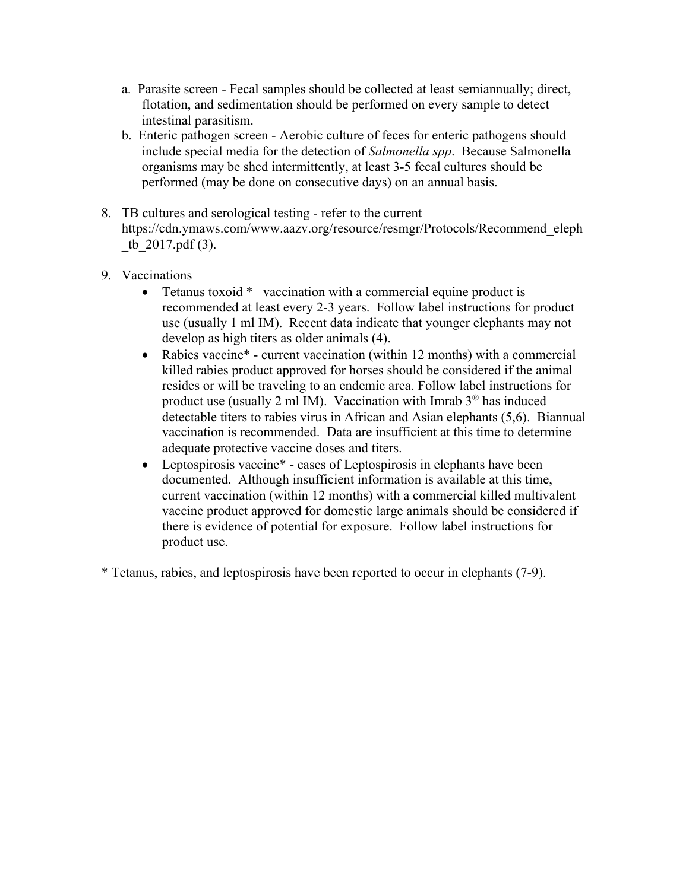- a. Parasite screen Fecal samples should be collected at least semiannually; direct, flotation, and sedimentation should be performed on every sample to detect intestinal parasitism.
- b. Enteric pathogen screen Aerobic culture of feces for enteric pathogens should include special media for the detection of *Salmonella spp*. Because Salmonella organisms may be shed intermittently, at least 3-5 fecal cultures should be performed (may be done on consecutive days) on an annual basis.
- 8. TB cultures and serological testing refer to the current https://cdn.ymaws.com/www.aazv.org/resource/resmgr/Protocols/Recommend\_eleph tb  $2017.pdf$  (3).
- 9. Vaccinations
	- Tetanus toxoid  $*$  vaccination with a commercial equine product is recommended at least every 2-3 years. Follow label instructions for product use (usually 1 ml IM). Recent data indicate that younger elephants may not develop as high titers as older animals (4).
	- Rabies vaccine\* current vaccination (within 12 months) with a commercial killed rabies product approved for horses should be considered if the animal resides or will be traveling to an endemic area. Follow label instructions for product use (usually 2 ml IM). Vaccination with Imrab  $3^{\circledR}$  has induced detectable titers to rabies virus in African and Asian elephants (5,6). Biannual vaccination is recommended. Data are insufficient at this time to determine adequate protective vaccine doses and titers.
	- Leptospirosis vaccine<sup>\*</sup> cases of Leptospirosis in elephants have been documented. Although insufficient information is available at this time, current vaccination (within 12 months) with a commercial killed multivalent vaccine product approved for domestic large animals should be considered if there is evidence of potential for exposure. Follow label instructions for product use.
- \* Tetanus, rabies, and leptospirosis have been reported to occur in elephants (7-9).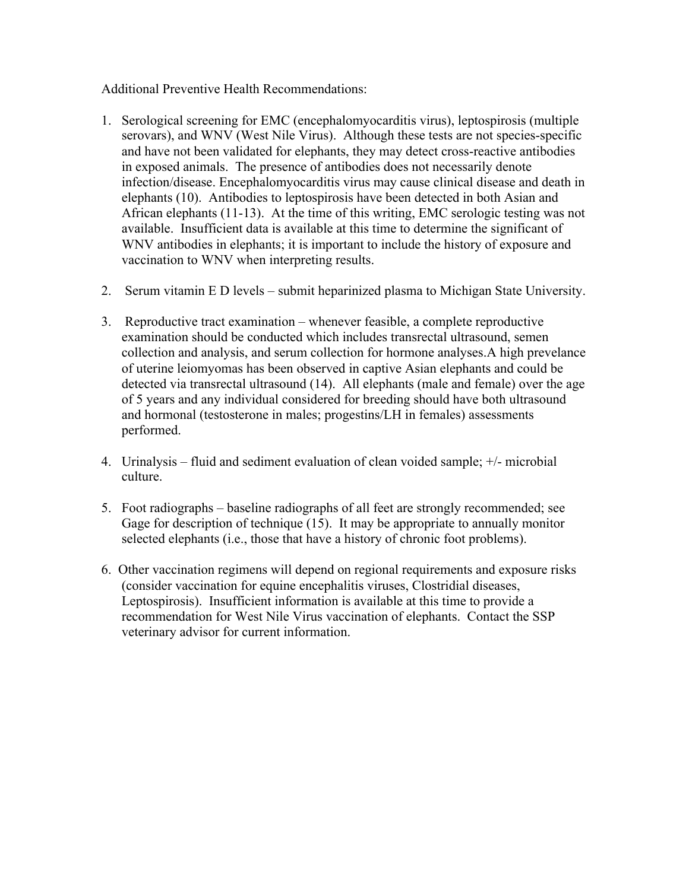Additional Preventive Health Recommendations:

- 1. Serological screening for EMC (encephalomyocarditis virus), leptospirosis (multiple serovars), and WNV (West Nile Virus). Although these tests are not species-specific and have not been validated for elephants, they may detect cross-reactive antibodies in exposed animals. The presence of antibodies does not necessarily denote infection/disease. Encephalomyocarditis virus may cause clinical disease and death in elephants (10). Antibodies to leptospirosis have been detected in both Asian and African elephants (11-13). At the time of this writing, EMC serologic testing was not available. Insufficient data is available at this time to determine the significant of WNV antibodies in elephants; it is important to include the history of exposure and vaccination to WNV when interpreting results.
- 2. Serum vitamin E D levels submit heparinized plasma to Michigan State University.
- 3. Reproductive tract examination whenever feasible, a complete reproductive examination should be conducted which includes transrectal ultrasound, semen collection and analysis, and serum collection for hormone analyses.A high prevelance of uterine leiomyomas has been observed in captive Asian elephants and could be detected via transrectal ultrasound (14). All elephants (male and female) over the age of 5 years and any individual considered for breeding should have both ultrasound and hormonal (testosterone in males; progestins/LH in females) assessments performed.
- 4. Urinalysis fluid and sediment evaluation of clean voided sample; +/- microbial culture.
- 5. Foot radiographs baseline radiographs of all feet are strongly recommended; see Gage for description of technique (15). It may be appropriate to annually monitor selected elephants (i.e., those that have a history of chronic foot problems).
- 6. Other vaccination regimens will depend on regional requirements and exposure risks (consider vaccination for equine encephalitis viruses, Clostridial diseases, Leptospirosis). Insufficient information is available at this time to provide a recommendation for West Nile Virus vaccination of elephants. Contact the SSP veterinary advisor for current information.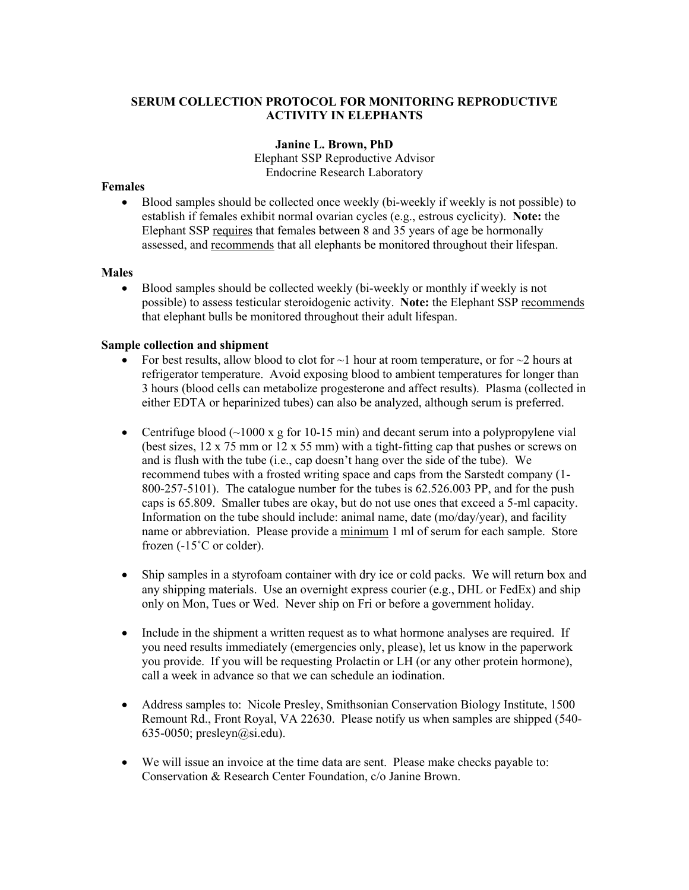## **SERUM COLLECTION PROTOCOL FOR MONITORING REPRODUCTIVE ACTIVITY IN ELEPHANTS**

### **Janine L. Brown, PhD**

Elephant SSP Reproductive Advisor Endocrine Research Laboratory

#### **Females**

• Blood samples should be collected once weekly (bi-weekly if weekly is not possible) to establish if females exhibit normal ovarian cycles (e.g., estrous cyclicity). **Note:** the Elephant SSP requires that females between 8 and 35 years of age be hormonally assessed, and recommends that all elephants be monitored throughout their lifespan.

#### **Males**

• Blood samples should be collected weekly (bi-weekly or monthly if weekly is not possible) to assess testicular steroidogenic activity. **Note:** the Elephant SSP recommends that elephant bulls be monitored throughout their adult lifespan.

### **Sample collection and shipment**

- For best results, allow blood to clot for  $\sim$ 1 hour at room temperature, or for  $\sim$ 2 hours at refrigerator temperature. Avoid exposing blood to ambient temperatures for longer than 3 hours (blood cells can metabolize progesterone and affect results). Plasma (collected in either EDTA or heparinized tubes) can also be analyzed, although serum is preferred.
- Centrifuge blood  $(\sim 1000 \text{ x g}$  for 10-15 min) and decant serum into a polypropylene vial (best sizes,  $12 \times 75$  mm or  $12 \times 55$  mm) with a tight-fitting cap that pushes or screws on and is flush with the tube (i.e., cap doesn't hang over the side of the tube). We recommend tubes with a frosted writing space and caps from the Sarstedt company (1- 800-257-5101). The catalogue number for the tubes is 62.526.003 PP, and for the push caps is 65.809. Smaller tubes are okay, but do not use ones that exceed a 5-ml capacity. Information on the tube should include: animal name, date (mo/day/year), and facility name or abbreviation. Please provide a minimum 1 ml of serum for each sample. Store frozen (-15˚C or colder).
- Ship samples in a styrofoam container with dry ice or cold packs. We will return box and any shipping materials. Use an overnight express courier (e.g., DHL or FedEx) and ship only on Mon, Tues or Wed. Never ship on Fri or before a government holiday.
- Include in the shipment a written request as to what hormone analyses are required. If you need results immediately (emergencies only, please), let us know in the paperwork you provide. If you will be requesting Prolactin or LH (or any other protein hormone), call a week in advance so that we can schedule an iodination.
- Address samples to: Nicole Presley, Smithsonian Conservation Biology Institute, 1500 Remount Rd., Front Royal, VA 22630. Please notify us when samples are shipped (540- 635-0050; presleyn $(a)$ si.edu).
- We will issue an invoice at the time data are sent. Please make checks payable to: Conservation & Research Center Foundation, c/o Janine Brown.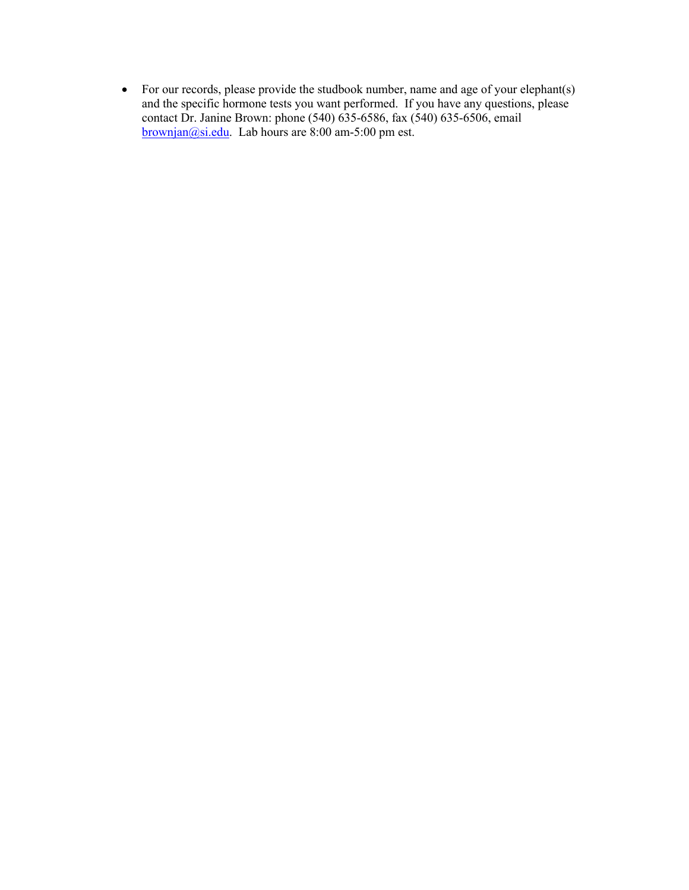• For our records, please provide the studbook number, name and age of your elephant(s) and the specific hormone tests you want performed. If you have any questions, please contact Dr. Janine Brown: phone (540) 635-6586, fax (540) 635-6506, email brownjan@si.edu. Lab hours are 8:00 am-5:00 pm est.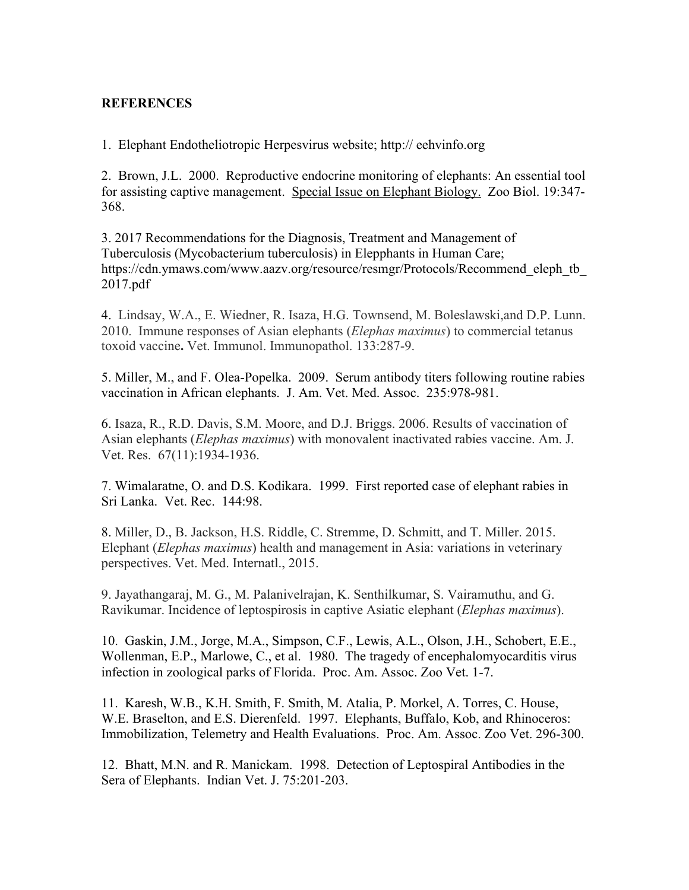# **REFERENCES**

1. Elephant Endotheliotropic Herpesvirus website; http:// eehvinfo.org

2. Brown, J.L. 2000. Reproductive endocrine monitoring of elephants: An essential tool for assisting captive management. Special Issue on Elephant Biology. Zoo Biol. 19:347- 368.

3. 2017 Recommendations for the Diagnosis, Treatment and Management of Tuberculosis (Mycobacterium tuberculosis) in Elepphants in Human Care; https://cdn.ymaws.com/www.aazv.org/resource/resmgr/Protocols/Recommend\_eleph\_tb\_ 2017.pdf

4. Lindsay, W.A., E. Wiedner, R. Isaza, H.G. Townsend, M. Boleslawski,and D.P. Lunn. 2010. Immune responses of Asian elephants (*Elephas maximus*) to commercial tetanus toxoid vaccine**.** Vet. Immunol. Immunopathol. 133:287-9.

5. Miller, M., and F. Olea-Popelka. 2009. Serum antibody titers following routine rabies vaccination in African elephants. J. Am. Vet. Med. Assoc. 235:978-981.

6. Isaza, R., R.D. Davis, S.M. Moore, and D.J. Briggs. 2006. Results of vaccination of Asian elephants (*Elephas maximus*) with monovalent inactivated rabies vaccine. Am. J. Vet. Res. 67(11):1934-1936.

7. Wimalaratne, O. and D.S. Kodikara. 1999. First reported case of elephant rabies in Sri Lanka. Vet. Rec. 144:98.

8. Miller, D., B. Jackson, H.S. Riddle, C. Stremme, D. Schmitt, and T. Miller. 2015. Elephant (*Elephas maximus*) health and management in Asia: variations in veterinary perspectives. Vet. Med. Internatl., 2015.

9. Jayathangaraj, M. G., M. Palanivelrajan, K. Senthilkumar, S. Vairamuthu, and G. Ravikumar. Incidence of leptospirosis in captive Asiatic elephant (*Elephas maximus*).

10. Gaskin, J.M., Jorge, M.A., Simpson, C.F., Lewis, A.L., Olson, J.H., Schobert, E.E., Wollenman, E.P., Marlowe, C., et al. 1980. The tragedy of encephalomyocarditis virus infection in zoological parks of Florida. Proc. Am. Assoc. Zoo Vet. 1-7.

11. Karesh, W.B., K.H. Smith, F. Smith, M. Atalia, P. Morkel, A. Torres, C. House, W.E. Braselton, and E.S. Dierenfeld. 1997. Elephants, Buffalo, Kob, and Rhinoceros: Immobilization, Telemetry and Health Evaluations. Proc. Am. Assoc. Zoo Vet. 296-300.

12. Bhatt, M.N. and R. Manickam. 1998. Detection of Leptospiral Antibodies in the Sera of Elephants. Indian Vet. J. 75:201-203.